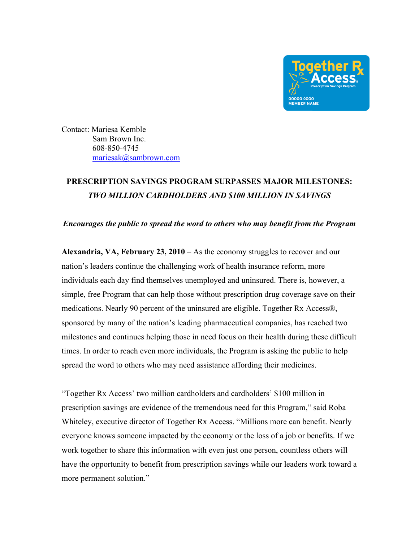

Contact: Mariesa Kemble Sam Brown Inc. 608-850-4745 mariesak@sambrown.com

## **PRESCRIPTION SAVINGS PROGRAM SURPASSES MAJOR MILESTONES:**  *TWO MILLION CARDHOLDERS AND \$100 MILLION IN SAVINGS*

*Encourages the public to spread the word to others who may benefit from the Program*

**Alexandria, VA, February 23, 2010** – As the economy struggles to recover and our nation's leaders continue the challenging work of health insurance reform, more individuals each day find themselves unemployed and uninsured. There is, however, a simple, free Program that can help those without prescription drug coverage save on their medications. Nearly 90 percent of the uninsured are eligible. Together Rx Access®, sponsored by many of the nation's leading pharmaceutical companies, has reached two milestones and continues helping those in need focus on their health during these difficult times. In order to reach even more individuals, the Program is asking the public to help spread the word to others who may need assistance affording their medicines.

"Together Rx Access' two million cardholders and cardholders' \$100 million in prescription savings are evidence of the tremendous need for this Program," said Roba Whiteley, executive director of Together Rx Access. "Millions more can benefit. Nearly everyone knows someone impacted by the economy or the loss of a job or benefits. If we work together to share this information with even just one person, countless others will have the opportunity to benefit from prescription savings while our leaders work toward a more permanent solution."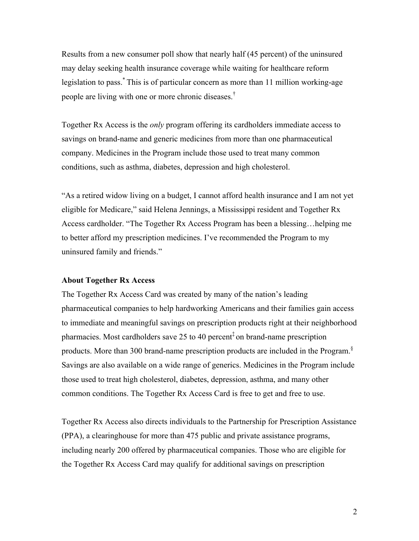Results from a new consumer poll show that nearly half (45 percent) of the uninsured may delay seeking health insurance coverage while waiting for healthcare reform legislation to pass.\* This is of particular concern as more than 11 million working-age people are living with one or more chronic diseases.†

Together Rx Access is the *only* program offering its cardholders immediate access to savings on brand-name and generic medicines from more than one pharmaceutical company. Medicines in the Program include those used to treat many common conditions, such as asthma, diabetes, depression and high cholesterol.

"As a retired widow living on a budget, I cannot afford health insurance and I am not yet eligible for Medicare," said Helena Jennings, a Mississippi resident and Together Rx Access cardholder. "The Together Rx Access Program has been a blessing…helping me to better afford my prescription medicines. I've recommended the Program to my uninsured family and friends."

## **About Together Rx Access**

The Together Rx Access Card was created by many of the nation's leading pharmaceutical companies to help hardworking Americans and their families gain access to immediate and meaningful savings on prescription products right at their neighborhood pharmacies. Most cardholders save 25 to 40 percent<sup> $\ddagger$ </sup> on brand-name prescription products. More than 300 brand-name prescription products are included in the Program.§ Savings are also available on a wide range of generics. Medicines in the Program include those used to treat high cholesterol, diabetes, depression, asthma, and many other common conditions. The Together Rx Access Card is free to get and free to use.

Together Rx Access also directs individuals to the Partnership for Prescription Assistance (PPA), a clearinghouse for more than 475 public and private assistance programs, including nearly 200 offered by pharmaceutical companies. Those who are eligible for the Together Rx Access Card may qualify for additional savings on prescription